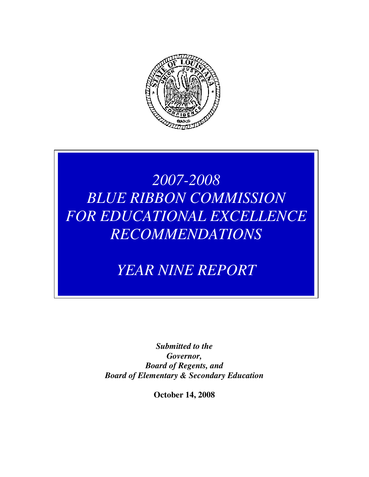

# *2007-2008 BLUE RIBBON COMMISSION FOR EDUCATIONAL EXCELLENCE RECOMMENDATIONS*

*YEAR NINE REPORT* 

*Submitted to the Governor, Board of Regents, and Board of Elementary & Secondary Education* 

**October 14, 2008**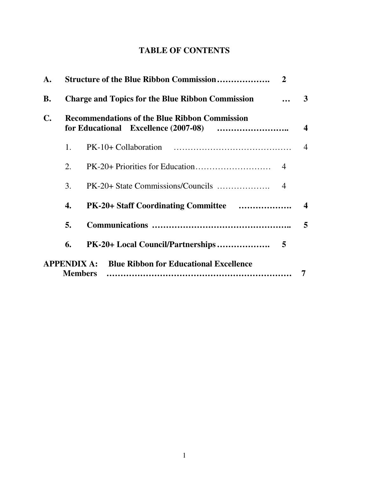## **TABLE OF CONTENTS**

| $\mathbf{A}$ . | <b>Structure of the Blue Ribbon Commission</b><br>$\overline{2}$ |                                                                             |                  |
|----------------|------------------------------------------------------------------|-----------------------------------------------------------------------------|------------------|
| <b>B.</b>      | <b>Charge and Topics for the Blue Ribbon Commission</b>          |                                                                             |                  |
| $\mathbf{C}$ . | <b>Recommendations of the Blue Ribbon Commission</b>             |                                                                             |                  |
|                | 1.                                                               |                                                                             | $\overline{4}$   |
|                | 2.                                                               |                                                                             |                  |
|                | 3.                                                               |                                                                             |                  |
|                | 4.                                                               |                                                                             | $\boldsymbol{4}$ |
|                | 5.                                                               |                                                                             | 5                |
|                | 6.                                                               |                                                                             |                  |
|                |                                                                  | <b>APPENDIX A:</b> Blue Ribbon for Educational Excellence<br><b>Members</b> |                  |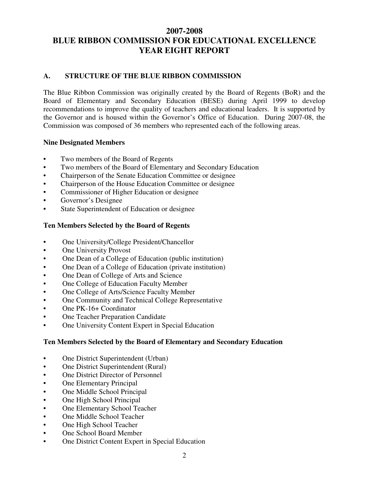### **2007-2008 BLUE RIBBON COMMISSION FOR EDUCATIONAL EXCELLENCE YEAR EIGHT REPORT**

#### **A. STRUCTURE OF THE BLUE RIBBON COMMISSION**

The Blue Ribbon Commission was originally created by the Board of Regents (BoR) and the Board of Elementary and Secondary Education (BESE) during April 1999 to develop recommendations to improve the quality of teachers and educational leaders. It is supported by the Governor and is housed within the Governor's Office of Education. During 2007-08, the Commission was composed of 36 members who represented each of the following areas.

#### **Nine Designated Members**

- Two members of the Board of Regents
- Two members of the Board of Elementary and Secondary Education
- Chairperson of the Senate Education Committee or designee
- Chairperson of the House Education Committee or designee
- Commissioner of Higher Education or designee
- Governor's Designee
- State Superintendent of Education or designee

#### **Ten Members Selected by the Board of Regents**

- One University/College President/Chancellor
- One University Provost
- One Dean of a College of Education (public institution)
- One Dean of a College of Education (private institution)
- One Dean of College of Arts and Science
- One College of Education Faculty Member
- One College of Arts/Science Faculty Member
- One Community and Technical College Representative
- One PK-16+ Coordinator
- One Teacher Preparation Candidate
- One University Content Expert in Special Education

#### **Ten Members Selected by the Board of Elementary and Secondary Education**

- One District Superintendent (Urban)
- One District Superintendent (Rural)
- One District Director of Personnel
- **One Elementary Principal**
- One Middle School Principal
- One High School Principal
- One Elementary School Teacher
- One Middle School Teacher
- One High School Teacher
- One School Board Member
- One District Content Expert in Special Education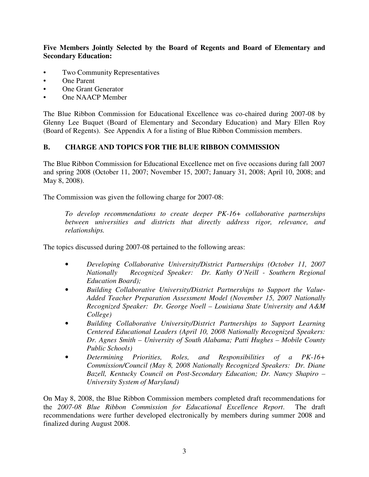**Five Members Jointly Selected by the Board of Regents and Board of Elementary and Secondary Education:** 

- Two Community Representatives
- One Parent
- One Grant Generator
- One NAACP Member

The Blue Ribbon Commission for Educational Excellence was co-chaired during 2007-08 by Glenny Lee Buquet (Board of Elementary and Secondary Education) and Mary Ellen Roy (Board of Regents). See Appendix A for a listing of Blue Ribbon Commission members.

#### **B. CHARGE AND TOPICS FOR THE BLUE RIBBON COMMISSION**

The Blue Ribbon Commission for Educational Excellence met on five occasions during fall 2007 and spring 2008 (October 11, 2007; November 15, 2007; January 31, 2008; April 10, 2008; and May 8, 2008).

The Commission was given the following charge for 2007-08:

*To develop recommendations to create deeper PK-16+ collaborative partnerships between universities and districts that directly address rigor, relevance, and relationships.* 

The topics discussed during 2007-08 pertained to the following areas:

- *Developing Collaborative University/District Partnerships (October 11, 2007 Nationally Recognized Speaker: Dr. Kathy O'Neill - Southern Regional Education Board);*
- *Building Collaborative University/District Partnerships to Support the Value-Added Teacher Preparation Assessment Model (November 15, 2007 Nationally Recognized Speaker: Dr. George Noell – Louisiana State University and A&M College)*
- *Building Collaborative University/District Partnerships to Support Learning Centered Educational Leaders (April 10, 2008 Nationally Recognized Speakers: Dr. Agnes Smith – University of South Alabama; Patti Hughes – Mobile County Public Schools)*
- *Determining Priorities, Roles, and Responsibilities of a PK-16+ Commission/Council (May 8, 2008 Nationally Recognized Speakers: Dr. Diane Bazell, Kentucky Council on Post-Secondary Education; Dr. Nancy Shapiro – University System of Maryland)*

On May 8, 2008, the Blue Ribbon Commission members completed draft recommendations for the *2007-08 Blue Ribbon Commission for Educational Excellence Report*. The draft recommendations were further developed electronically by members during summer 2008 and finalized during August 2008.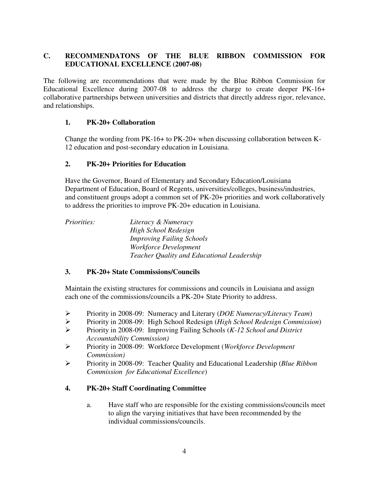#### **C. RECOMMENDATONS OF THE BLUE RIBBON COMMISSION FOR EDUCATIONAL EXCELLENCE (2007-08)**

The following are recommendations that were made by the Blue Ribbon Commission for Educational Excellence during 2007-08 to address the charge to create deeper PK-16+ collaborative partnerships between universities and districts that directly address rigor, relevance, and relationships.

#### **1. PK-20+ Collaboration**

 Change the wording from PK-16+ to PK-20+ when discussing collaboration between K- 12 education and post-secondary education in Louisiana.

#### **2. PK-20+ Priorities for Education**

Have the Governor, Board of Elementary and Secondary Education/Louisiana Department of Education, Board of Regents, universities/colleges, business/industries, and constituent groups adopt a common set of PK-20+ priorities and work collaboratively to address the priorities to improve PK-20+ education in Louisiana.

*Priorities: Literacy & Numeracy High School Redesign Improving Failing Schools Workforce Development Teacher Quality and Educational Leadership* 

#### **3. PK-20+ State Commissions/Councils**

 Maintain the existing structures for commissions and councils in Louisiana and assign each one of the commissions/councils a PK-20+ State Priority to address.

- Priority in 2008-09: Numeracy and Literary (*DOE Numeracy/Literacy Team*)
- Priority in 2008-09: High School Redesign (*High School Redesign Commission*)
- Priority in 2008-09: Improving Failing Schools (*K-12 School and District Accountability Commission)*
- Priority in 2008-09: Workforce Development (*Workforce Development Commission)*
- Priority in 2008-09: Teacher Quality and Educational Leadership (*Blue Ribbon Commission for Educational Excellence*)

#### **4. PK-20+ Staff Coordinating Committee**

a. Have staff who are responsible for the existing commissions/councils meet to align the varying initiatives that have been recommended by the individual commissions/councils.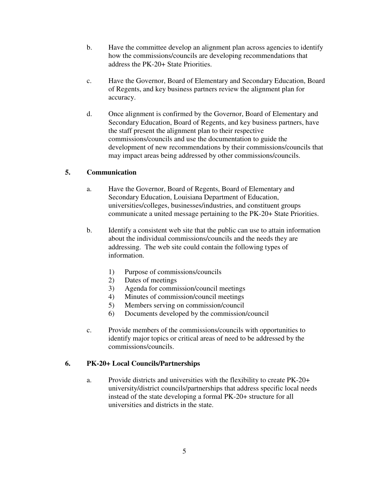- b. Have the committee develop an alignment plan across agencies to identify how the commissions/councils are developing recommendations that address the PK-20+ State Priorities.
- c. Have the Governor, Board of Elementary and Secondary Education, Board of Regents, and key business partners review the alignment plan for accuracy.
- d. Once alignment is confirmed by the Governor, Board of Elementary and Secondary Education, Board of Regents, and key business partners, have the staff present the alignment plan to their respective commissions/councils and use the documentation to guide the development of new recommendations by their commissions/councils that may impact areas being addressed by other commissions/councils.

#### **5. Communication**

- a. Have the Governor, Board of Regents, Board of Elementary and Secondary Education, Louisiana Department of Education, universities/colleges, businesses/industries, and constituent groups communicate a united message pertaining to the PK-20+ State Priorities.
- b. Identify a consistent web site that the public can use to attain information about the individual commissions/councils and the needs they are addressing. The web site could contain the following types of information.
	- 1) Purpose of commissions/councils
	- 2) Dates of meetings
	- 3) Agenda for commission/council meetings
	- 4) Minutes of commission/council meetings
	- 5) Members serving on commission/council
	- 6) Documents developed by the commission/council
- c. Provide members of the commissions/councils with opportunities to identify major topics or critical areas of need to be addressed by the commissions/councils.

#### **6. PK-20+ Local Councils/Partnerships**

a. Provide districts and universities with the flexibility to create PK-20+ university/district councils/partnerships that address specific local needs instead of the state developing a formal PK-20+ structure for all universities and districts in the state.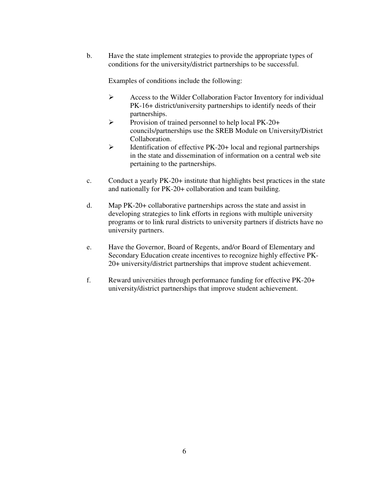b. Have the state implement strategies to provide the appropriate types of conditions for the university/district partnerships to be successful.

Examples of conditions include the following:

- $\triangleright$  Access to the Wilder Collaboration Factor Inventory for individual PK-16+ district/university partnerships to identify needs of their partnerships.
- Provision of trained personnel to help local  $PK-20+$ councils/partnerships use the SREB Module on University/District Collaboration.
- $\triangleright$  Identification of effective PK-20+ local and regional partnerships in the state and dissemination of information on a central web site pertaining to the partnerships.
- c. Conduct a yearly PK-20+ institute that highlights best practices in the state and nationally for PK-20+ collaboration and team building.
- d. Map PK-20+ collaborative partnerships across the state and assist in developing strategies to link efforts in regions with multiple university programs or to link rural districts to university partners if districts have no university partners.
- e. Have the Governor, Board of Regents, and/or Board of Elementary and Secondary Education create incentives to recognize highly effective PK-20+ university/district partnerships that improve student achievement.
- f. Reward universities through performance funding for effective PK-20+ university/district partnerships that improve student achievement.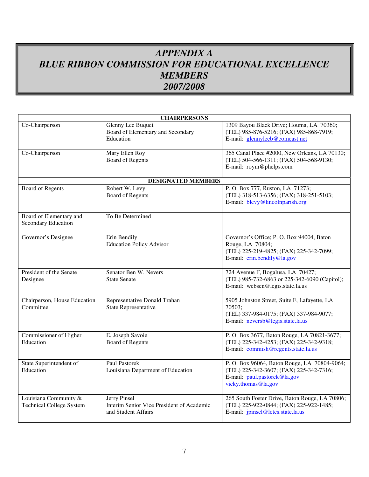## *APPENDIX A BLUE RIBBON COMMISSION FOR EDUCATIONAL EXCELLENCE MEMBERS 2007/2008*

| <b>CHAIRPERSONS</b>                                      |                                                                                         |                                                                                                                                                |  |  |
|----------------------------------------------------------|-----------------------------------------------------------------------------------------|------------------------------------------------------------------------------------------------------------------------------------------------|--|--|
| Co-Chairperson                                           | <b>Glenny Lee Buquet</b><br>Board of Elementary and Secondary<br>Education              | 1309 Bayou Black Drive; Houma, LA 70360;<br>(TEL) 985-876-5216; (FAX) 985-868-7919;<br>E-mail: glennyleeb@comcast.net                          |  |  |
| Co-Chairperson                                           | Mary Ellen Roy<br><b>Board of Regents</b>                                               | 365 Canal Place #2000, New Orleans, LA 70130;<br>(TEL) 504-566-1311; (FAX) 504-568-9130;<br>E-mail: roym@phelps.com                            |  |  |
|                                                          | <b>DESIGNATED MEMBERS</b>                                                               |                                                                                                                                                |  |  |
| <b>Board of Regents</b>                                  | Robert W. Levy<br><b>Board of Regents</b>                                               | P. O. Box 777, Ruston, LA 71273;<br>(TEL) 318-513-6356; (FAX) 318-251-5103;<br>E-mail: blevy@lincolnparish.org                                 |  |  |
| Board of Elementary and<br>Secondary Education           | To Be Determined                                                                        |                                                                                                                                                |  |  |
| Governor's Designee                                      | Erin Bendily<br><b>Education Policy Advisor</b>                                         | Governor's Office; P. O. Box 94004, Baton<br>Rouge, LA 70804;<br>(TEL) 225-219-4825; (FAX) 225-342-7099;<br>E-mail: erin.bendily@la.gov        |  |  |
| President of the Senate<br>Designee                      | Senator Ben W. Nevers<br><b>State Senate</b>                                            | 724 Avenue F, Bogalusa, LA 70427;<br>(TEL) 985-732-6863 or 225-342-6090 (Capitol);<br>E-mail: websen@legis.state.la.us                         |  |  |
| Chairperson, House Education<br>Committee                | Representative Donald Trahan<br>State Representative                                    | 5905 Johnston Street, Suite F, Lafayette, LA<br>70503;<br>(TEL) 337-984-0175; (FAX) 337-984-9077;<br>E-mail: neversb@legis.state.la.us         |  |  |
| Commissioner of Higher<br>Education                      | E. Joseph Savoie<br><b>Board of Regents</b>                                             | P. O. Box 3677, Baton Rouge, LA 70821-3677;<br>(TEL) 225-342-4253; (FAX) 225-342-9318;<br>E-mail: commish@regents.state.la.us                  |  |  |
| State Superintendent of<br>Education                     | <b>Paul Pastorek</b><br>Louisiana Department of Education                               | P. O. Box 96064, Baton Rouge, LA 70804-9064;<br>(TEL) 225-342-3607; (FAX) 225-342-7316;<br>E-mail: paul.pastorek@la.gov<br>vicky.thomas@la.gov |  |  |
| Louisiana Community &<br><b>Technical College System</b> | <b>Jerry Pinsel</b><br>Interim Senior Vice President of Academic<br>and Student Affairs | 265 South Foster Drive, Baton Rouge, LA 70806;<br>(TEL) 225-922-0844; (FAX) 225-922-1485;<br>E-mail: <i>jpinsel@lctcs.state.la.us</i>          |  |  |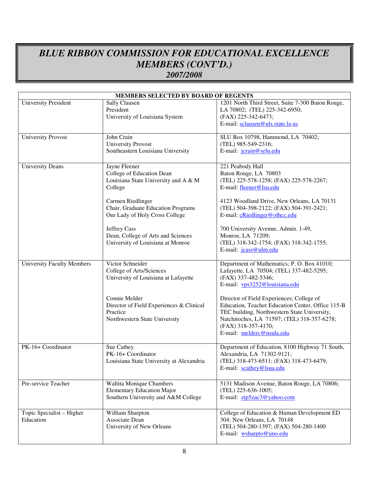## *BLUE RIBBON COMMISSION FOR EDUCATIONAL EXCELLENCE MEMBERS (CONT'D.) 2007/2008*

| MEMBERS SELECTED BY BOARD OF REGENTS   |                                                                                                                                                                                                                                                                                              |                                                                                                                                                                                                                                                                                                                                                                                                       |  |
|----------------------------------------|----------------------------------------------------------------------------------------------------------------------------------------------------------------------------------------------------------------------------------------------------------------------------------------------|-------------------------------------------------------------------------------------------------------------------------------------------------------------------------------------------------------------------------------------------------------------------------------------------------------------------------------------------------------------------------------------------------------|--|
| <b>University President</b>            | Sally Clausen<br>President<br>University of Louisiana System                                                                                                                                                                                                                                 | 1201 North Third Street, Suite 7-300 Baton Rouge,<br>LA 70802; (TEL) 225-342-6950;<br>(FAX) 225-342-6473;<br>E-mail: sclausen@uls.state.la.us                                                                                                                                                                                                                                                         |  |
| <b>University Provost</b>              | John Crain<br><b>University Provost</b><br>Southeastern Louisiana University                                                                                                                                                                                                                 | SLU Box 10798, Hammond, LA 70402;<br>(TEL) 985-549-2316;<br>E-mail: jcrain@selu.edu                                                                                                                                                                                                                                                                                                                   |  |
| <b>University Deans</b>                | Jayne Fleener<br>College of Education Dean<br>Louisiana State University and A & M<br>College<br>Carmen Riedlinger<br>Chair, Graduate Education Programs<br>Our Lady of Holy Cross College<br><b>Jeffrey Cass</b><br>Dean, College of Arts and Sciences<br>University of Louisiana at Monroe | 221 Peabody Hall<br>Baton Rouge, LA 70803<br>(TEL) 225-578-1258; (FAX) 225-578-2267;<br>E-mail: fleener@lsu.edu<br>4123 Woodland Drive, New Orleans, LA 70131<br>(TEL) 504-398-2122; (FAX) 504-391-2421;<br>E-mail: cRiedlinger@olhcc.edu<br>700 University Avenue, Admin. 1-49,<br>Monroe, LA 71209;<br>(TEL) 318-342-1754; (FAX) 318-342-1755;<br>E-mail: jcass@ulm.edu                             |  |
| <b>University Faculty Members</b>      | Victor Schneider<br>College of Arts/Sciences<br>University of Louisiana at Lafayette<br>Connie Melder<br>Director of Field Experiences & Clinical<br>Practice<br>Northwestern State University                                                                                               | Department of Mathematics; P. O. Box 41010;<br>Lafayette, LA 70504; (TEL) 337-482-5295;<br>(FAX) 337-482-5346;<br>E-mail: vps3252@louisiana.edu<br>Director of Field Experiences; College of<br>Education, Teacher Education Center, Office 115-B<br>TEC building, Northwestern State University,<br>Natchitoches, LA 71597; (TEL) 318-357-6278;<br>(FAX) 318-357-4170;<br>E-mail: melderc@nsula.edu. |  |
| PK-16+ Coordinator                     | Sue Cathey<br>PK-16+ Coordinator<br>Louisiana State University at Alexandria                                                                                                                                                                                                                 | Department of Education, 8100 Highway 71 South,<br>Alexandria, LA 71302-9121;<br>(TEL) 318-473-6511; (FAX) 318-473-6479,<br>E-mail: scathey@lsua.edu                                                                                                                                                                                                                                                  |  |
| Pre-service Teacher                    | Waltita Monique Chambers<br><b>Elementary Education Major</b><br>Southern University and A&M College                                                                                                                                                                                         | 5131 Madison Avenue, Baton Rouge, LA 70806;<br>(TEL) 225-636-1005;<br>E-mail: zip5zac3@yahoo.com                                                                                                                                                                                                                                                                                                      |  |
| Topic Specialist - Higher<br>Education | William Sharpton<br>Associate Dean<br>University of New Orleans                                                                                                                                                                                                                              | College of Education & Human Development ED<br>304; New Orleans, LA 70148<br>(TEL) 504-280-1397; (FAX) 504-280-1400<br>E-mail: wsharpto@uno.edu                                                                                                                                                                                                                                                       |  |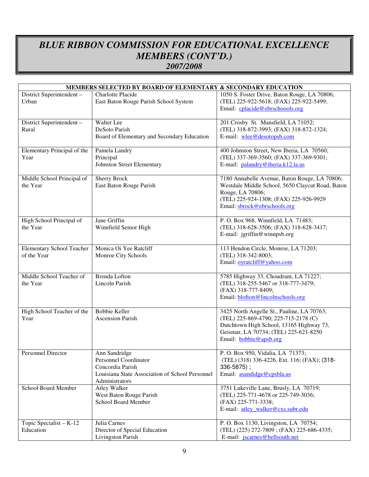## *BLUE RIBBON COMMISSION FOR EDUCATIONAL EXCELLENCE MEMBERS (CONT'D.) 2007/2008*

| MEMBERS SELECTED BY BOARD OF ELEMENTARY & SECONDARY EDUCATION |                                                 |                                                  |  |  |
|---------------------------------------------------------------|-------------------------------------------------|--------------------------------------------------|--|--|
| District Superintendent -                                     | Charlotte Placide                               | 1050 S. Foster Drive, Baton Rouge, LA 70806;     |  |  |
| Urban                                                         | East Baton Rouge Parish School System           | (TEL) 225-922-5618; (FAX) 225-922-5499;          |  |  |
|                                                               |                                                 | Email: cplacide@ebrschoools.org                  |  |  |
|                                                               |                                                 |                                                  |  |  |
| District Superintendent -                                     | <b>Walter</b> Lee                               | 201 Crosby St. Mansfield, LA 71052;              |  |  |
| Rural                                                         | DeSoto Parish                                   | (TEL) 318-872-3993; (FAX) 318-872-1324;          |  |  |
|                                                               | Board of Elementary and Secondary Education     | E-mail: wlee@desotopsb.com                       |  |  |
|                                                               |                                                 |                                                  |  |  |
| Elementary Principal of the                                   | Pamela Landry                                   | 400 Johnston Street, New Iberia, LA 70560;       |  |  |
| Year                                                          | Principal                                       | (TEL) 337-369-3560; (FAX) 337-369-9301;          |  |  |
|                                                               | Johnston Street Elementary                      | E-mail: palandry@iberia.k12.la.us                |  |  |
|                                                               |                                                 |                                                  |  |  |
| Middle School Principal of                                    | <b>Sherry Brock</b>                             | 7180 Annabelle Avenue, Baton Rouge, LA 70806;    |  |  |
| the Year                                                      | East Baton Rouge Parish                         | Westdale Middle School, 5650 Claycut Road, Baton |  |  |
|                                                               |                                                 | Rouge, LA 70806;                                 |  |  |
|                                                               |                                                 | (TEL) 225-924-1308; (FAX) 225-926-9929           |  |  |
|                                                               |                                                 | Email: sbrock@ebrschools.org                     |  |  |
|                                                               |                                                 |                                                  |  |  |
| High School Principal of                                      | Jane Griffin                                    | P. O. Box 968, Winnfield, LA 71483;              |  |  |
| the Year                                                      | Winnfield Senior High                           | (TEL) 318-628-3506; (FAX) 318-628-3417;          |  |  |
|                                                               |                                                 | E-mail: jgriffin@winnpsb.org                     |  |  |
| <b>Elementary School Teacher</b>                              | Monica Oi Yee Ratcliff                          | 113 Hendon Circle, Monroe, LA 71203;             |  |  |
| of the Year                                                   | Monroe City Schools                             | (TEL) 318-342-8003;                              |  |  |
|                                                               |                                                 | Email: oyratcliff@yahoo.com                      |  |  |
|                                                               |                                                 |                                                  |  |  |
| Middle School Teacher of                                      | Brenda Lofton                                   | 5785 Highway 33, Choudrant, LA 71227;            |  |  |
| the Year                                                      | Lincoln Parish                                  | (TEL) 318-255-5467 or 318-777-3479;              |  |  |
|                                                               |                                                 | (FAX) 318-777-8409;                              |  |  |
|                                                               |                                                 | Email: blofton@lincolnschools.org                |  |  |
|                                                               |                                                 |                                                  |  |  |
| High School Teacher of the                                    | <b>Bobbie Keller</b>                            | 3425 North Angelle St., Pauline, LA 70763;       |  |  |
| Year                                                          | <b>Ascension Parish</b>                         | (TEL) 225-869-4790; 225-715-2178 (C)             |  |  |
|                                                               |                                                 | Dutchtown High School, 13165 Highway 73,         |  |  |
|                                                               |                                                 | Geismar, LA 70734; (TEL) 225-621-8250            |  |  |
|                                                               |                                                 | Email: <b>bobbie@apsb.org</b>                    |  |  |
|                                                               |                                                 |                                                  |  |  |
| Personnel Director                                            | Ann Sandridge                                   | P. O. Box 950, Vidalia, LA 71373;                |  |  |
|                                                               | Personnel Coordinator                           | (TEL) (318) 336-4226, Ext. 116; (FAX); (318-     |  |  |
|                                                               | Concordia Parish                                | 336-5875);                                       |  |  |
|                                                               | Louisiana State Association of School Personnel | Email: asandidge@cpsbla.us                       |  |  |
|                                                               | Administrators                                  |                                                  |  |  |
| School Board Member                                           | <b>Atley Walker</b>                             | 3751 Lukeville Lane, Brusly, LA 70719;           |  |  |
|                                                               | West Baton Rouge Parish                         | (TEL) 225-771-4678 or 225-749-3036;              |  |  |
|                                                               | School Board Member                             | (FAX) 225-771-3338;                              |  |  |
|                                                               |                                                 | E-mail: atley_walker@cxs.subr.edu                |  |  |
| Topic Specialist $- K-12$                                     | Julia Carnes                                    | P. O. Box 1130, Livingston, LA 70754;            |  |  |
| Education                                                     | Director of Special Education                   | (TEL) (225) 272-7809; (FAX) 225-686-4335;        |  |  |
|                                                               | Livingston Parish                               | E-mail: jscarnes@bellsouth.net                   |  |  |
|                                                               |                                                 |                                                  |  |  |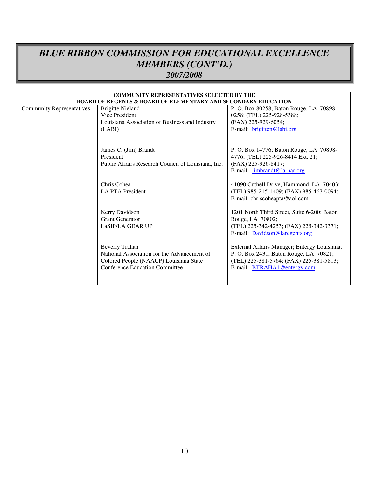## *BLUE RIBBON COMMISSION FOR EDUCATIONAL EXCELLENCE MEMBERS (CONT'D.) 2007/2008*

| <b>COMMUNITY REPRESENTATIVES SELECTED BY THE</b>                          |                                                                                                                                                  |                                                                                                                                                                                                                                                            |  |  |
|---------------------------------------------------------------------------|--------------------------------------------------------------------------------------------------------------------------------------------------|------------------------------------------------------------------------------------------------------------------------------------------------------------------------------------------------------------------------------------------------------------|--|--|
| <b>BOARD OF REGENTS &amp; BOARD OF ELEMENTARY AND SECONDARY EDUCATION</b> |                                                                                                                                                  |                                                                                                                                                                                                                                                            |  |  |
| <b>Community Representatives</b>                                          | <b>Brigitte Nieland</b>                                                                                                                          | P. O. Box 80258, Baton Rouge, LA 70898-                                                                                                                                                                                                                    |  |  |
|                                                                           | Vice President                                                                                                                                   | 0258; (TEL) 225-928-5388;                                                                                                                                                                                                                                  |  |  |
|                                                                           | Louisiana Association of Business and Industry                                                                                                   | (FAX) 225-929-6054;                                                                                                                                                                                                                                        |  |  |
|                                                                           | (LABI)                                                                                                                                           | E-mail: brigitten@labi.org                                                                                                                                                                                                                                 |  |  |
|                                                                           | James C. (Jim) Brandt<br>President<br>Public Affairs Research Council of Louisiana, Inc.<br>Chris Cohea<br><b>LA PTA President</b>               | P. O. Box 14776; Baton Rouge, LA 70898-<br>4776; (TEL) 225-926-8414 Ext. 21;<br>(FAX) 225-926-8417;<br>E-mail: jimbrandt@la-par.org<br>41090 Cuthell Drive, Hammond, LA 70403;<br>(TEL) 985-215-1409; (FAX) 985-467-0094;<br>E-mail: chriscoheapta@aol.com |  |  |
|                                                                           | Kerry Davidson<br><b>Grant Generator</b><br>LaSIP/LA GEAR UP                                                                                     | 1201 North Third Street, Suite 6-200; Baton<br>Rouge, LA 70802;<br>(TEL) 225-342-4253; (FAX) 225-342-3371;<br>E-mail: Davidson@laregents.org                                                                                                               |  |  |
|                                                                           | <b>Beverly Trahan</b><br>National Association for the Advancement of<br>Colored People (NAACP) Louisiana State<br>Conference Education Committee | External Affairs Manager; Entergy Louisiana;<br>P. O. Box 2431, Baton Rouge, LA 70821;<br>(TEL) 225-381-5764; (FAX) 225-381-5813;<br>E-mail: BTRAHA1@entergy.com                                                                                           |  |  |